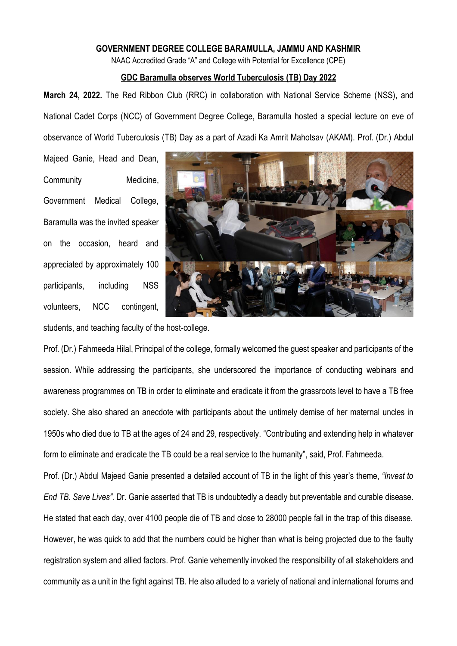## **GOVERNMENT DEGREE COLLEGE BARAMULLA, JAMMU AND KASHMIR**

NAAC Accredited Grade "A" and College with Potential for Excellence (CPE)

## **GDC Baramulla observes World Tuberculosis (TB) Day 2022**

**March 24, 2022.** The Red Ribbon Club (RRC) in collaboration with National Service Scheme (NSS), and National Cadet Corps (NCC) of Government Degree College, Baramulla hosted a special lecture on eve of observance of World Tuberculosis (TB) Day as a part of Azadi Ka Amrit Mahotsav (AKAM). Prof. (Dr.) Abdul

Majeed Ganie, Head and Dean, Community Medicine, Government Medical College, Baramulla was the invited speaker on the occasion, heard and appreciated by approximately 100 participants, including NSS volunteers, NCC contingent,



students, and teaching faculty of the host-college.

Prof. (Dr.) Fahmeeda Hilal, Principal of the college, formally welcomed the guest speaker and participants of the session. While addressing the participants, she underscored the importance of conducting webinars and awareness programmes on TB in order to eliminate and eradicate it from the grassroots level to have a TB free society. She also shared an anecdote with participants about the untimely demise of her maternal uncles in 1950s who died due to TB at the ages of 24 and 29, respectively. "Contributing and extending help in whatever form to eliminate and eradicate the TB could be a real service to the humanity", said, Prof. Fahmeeda.

Prof. (Dr.) Abdul Majeed Ganie presented a detailed account of TB in the light of this year's theme, *"Invest to End TB. Save Lives".* Dr. Ganie asserted that TB is undoubtedly a deadly but preventable and curable disease. He stated that each day, over 4100 people die of TB and close to 28000 people fall in the trap of this disease. However, he was quick to add that the numbers could be higher than what is being projected due to the faulty registration system and allied factors. Prof. Ganie vehemently invoked the responsibility of all stakeholders and community as a unit in the fight against TB. He also alluded to a variety of national and international forums and